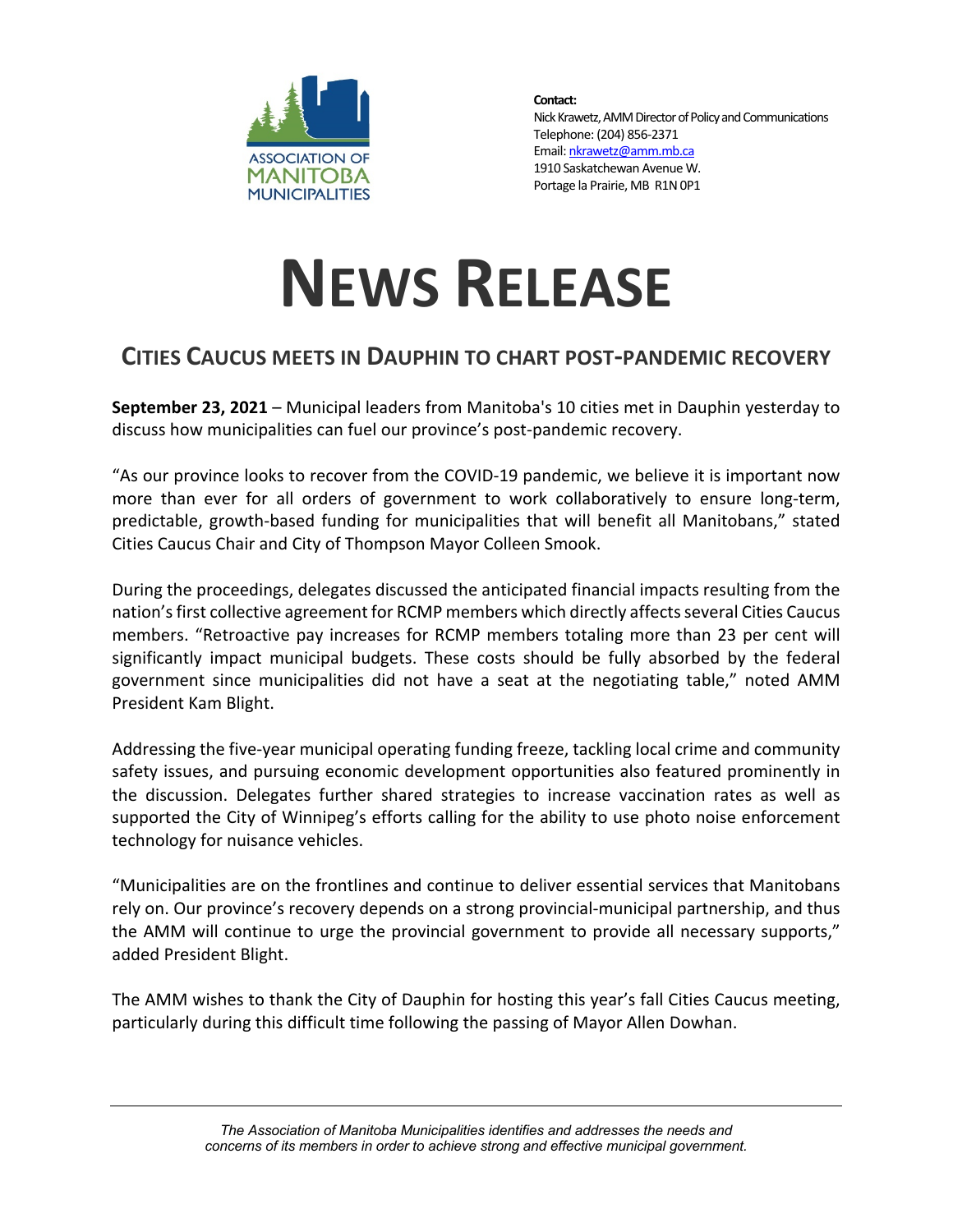

**Contact:** Nick Krawetz, AMM Director of Policy and Communications Telephone: (204) 856-2371 Email: nkrawetz@amm.mb.ca 1910 Saskatchewan Avenue W. Portage la Prairie, MB R1N 0P1

## **NEWS RELEASE**

## **CITIES CAUCUS MEETS IN DAUPHIN TO CHART POST-PANDEMIC RECOVERY**

**September 23, 2021** – Municipal leaders from Manitoba's 10 cities met in Dauphin yesterday to discuss how municipalities can fuel our province's post-pandemic recovery.

"As our province looks to recover from the COVID-19 pandemic, we believe it is important now more than ever for all orders of government to work collaboratively to ensure long-term, predictable, growth-based funding for municipalities that will benefit all Manitobans," stated Cities Caucus Chair and City of Thompson Mayor Colleen Smook.

During the proceedings, delegates discussed the anticipated financial impacts resulting from the nation's first collective agreement for RCMP members which directly affects several Cities Caucus members. "Retroactive pay increases for RCMP members totaling more than 23 per cent will significantly impact municipal budgets. These costs should be fully absorbed by the federal government since municipalities did not have a seat at the negotiating table," noted AMM President Kam Blight.

Addressing the five-year municipal operating funding freeze, tackling local crime and community safety issues, and pursuing economic development opportunities also featured prominently in the discussion. Delegates further shared strategies to increase vaccination rates as well as supported the City of Winnipeg's efforts calling for the ability to use photo noise enforcement technology for nuisance vehicles.

"Municipalities are on the frontlines and continue to deliver essential services that Manitobans rely on. Our province's recovery depends on a strong provincial-municipal partnership, and thus the AMM will continue to urge the provincial government to provide all necessary supports," added President Blight.

The AMM wishes to thank the City of Dauphin for hosting this year's fall Cities Caucus meeting, particularly during this difficult time following the passing of Mayor Allen Dowhan.